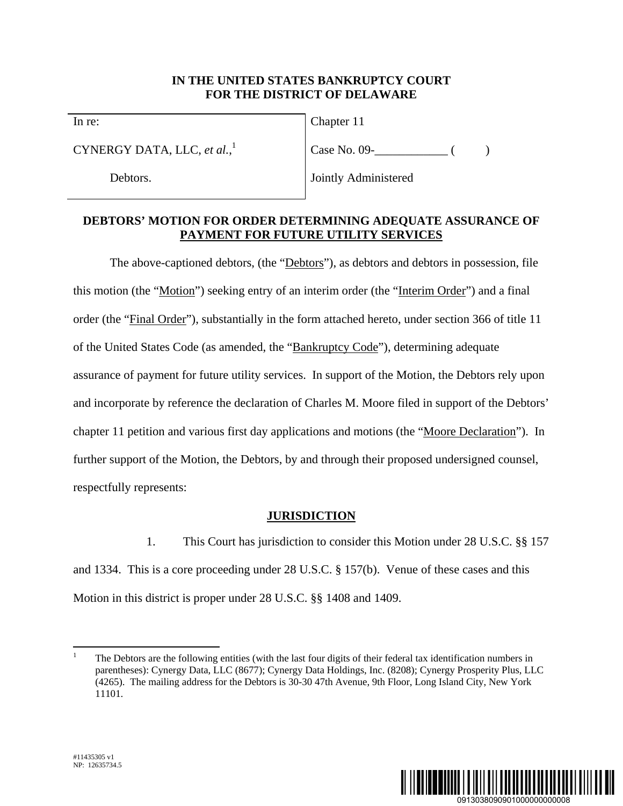### **IN THE UNITED STATES BANKRUPTCY COURT FOR THE DISTRICT OF DELAWARE**

In re:

CYNERGY DATA, LLC, *et al.*, 1

Debtors.

Chapter 11

 $Case No. 09 -$  ( )

Jointly Administered

## **DEBTORS' MOTION FOR ORDER DETERMINING ADEQUATE ASSURANCE OF PAYMENT FOR FUTURE UTILITY SERVICES**

The above-captioned debtors, (the "Debtors"), as debtors and debtors in possession, file this motion (the "Motion") seeking entry of an interim order (the "Interim Order") and a final order (the "Final Order"), substantially in the form attached hereto, under section 366 of title 11 of the United States Code (as amended, the "Bankruptcy Code"), determining adequate assurance of payment for future utility services. In support of the Motion, the Debtors rely upon and incorporate by reference the declaration of Charles M. Moore filed in support of the Debtors' chapter 11 petition and various first day applications and motions (the "Moore Declaration"). In further support of the Motion, the Debtors, by and through their proposed undersigned counsel, respectfully represents:

# **JURISDICTION**

1. This Court has jurisdiction to consider this Motion under 28 U.S.C. §§ 157 and 1334. This is a core proceeding under 28 U.S.C. § 157(b). Venue of these cases and this Motion in this district is proper under 28 U.S.C. §§ 1408 and 1409.



 $\overline{a}$ 1 The Debtors are the following entities (with the last four digits of their federal tax identification numbers in parentheses): Cynergy Data, LLC (8677); Cynergy Data Holdings, Inc. (8208); Cynergy Prosperity Plus, LLC (4265). The mailing address for the Debtors is 30-30 47th Avenue, 9th Floor, Long Island City, New York 11101.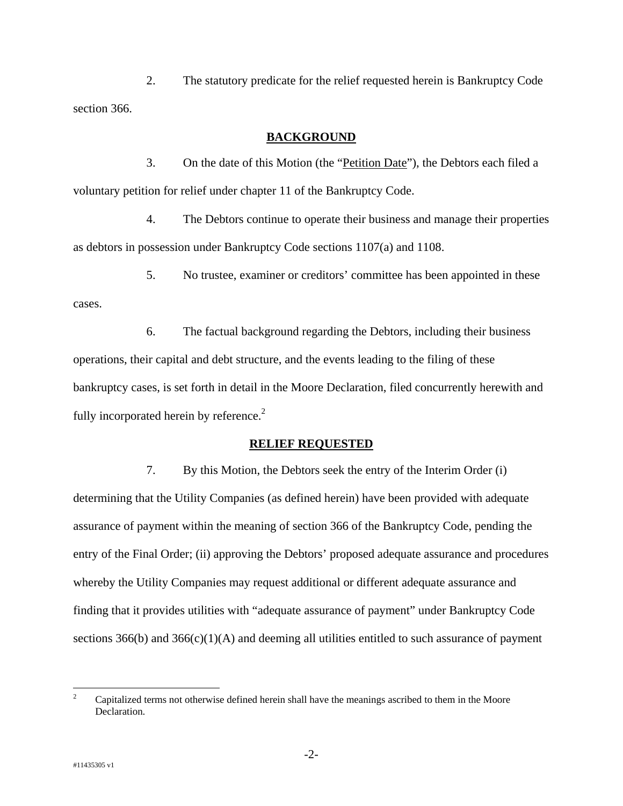2. The statutory predicate for the relief requested herein is Bankruptcy Code section 366.

#### **BACKGROUND**

3. On the date of this Motion (the "Petition Date"), the Debtors each filed a voluntary petition for relief under chapter 11 of the Bankruptcy Code.

4. The Debtors continue to operate their business and manage their properties as debtors in possession under Bankruptcy Code sections 1107(a) and 1108.

5. No trustee, examiner or creditors' committee has been appointed in these

6. The factual background regarding the Debtors, including their business operations, their capital and debt structure, and the events leading to the filing of these bankruptcy cases, is set forth in detail in the Moore Declaration, filed concurrently herewith and fully incorporated herein by reference.<sup>2</sup>

#### **RELIEF REQUESTED**

7. By this Motion, the Debtors seek the entry of the Interim Order (i) determining that the Utility Companies (as defined herein) have been provided with adequate assurance of payment within the meaning of section 366 of the Bankruptcy Code, pending the entry of the Final Order; (ii) approving the Debtors' proposed adequate assurance and procedures whereby the Utility Companies may request additional or different adequate assurance and finding that it provides utilities with "adequate assurance of payment" under Bankruptcy Code sections  $366(b)$  and  $366(c)(1)(A)$  and deeming all utilities entitled to such assurance of payment

cases.

 $\frac{1}{2}$  Capitalized terms not otherwise defined herein shall have the meanings ascribed to them in the Moore Declaration.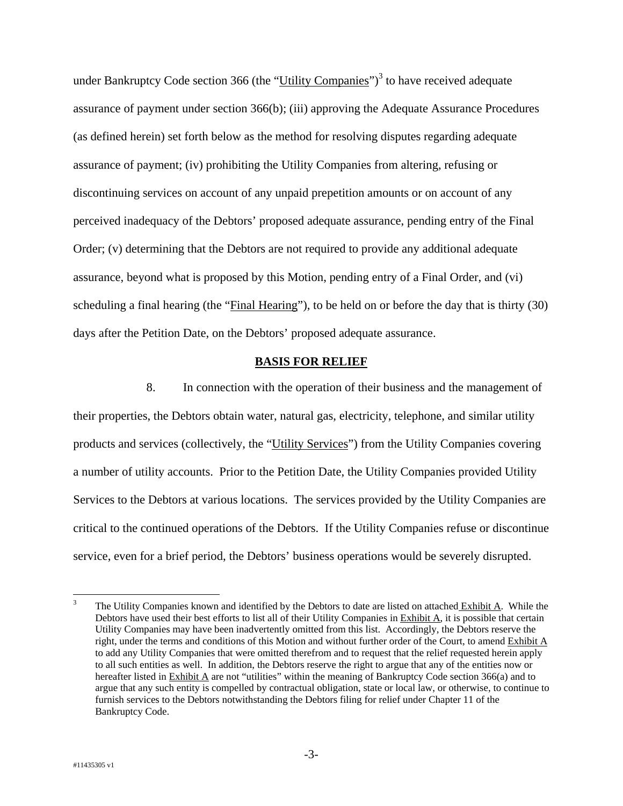under Bankruptcy Code section 366 (the "Utility Companies")<sup>3</sup> to have received adequate assurance of payment under section 366(b); (iii) approving the Adequate Assurance Procedures (as defined herein) set forth below as the method for resolving disputes regarding adequate assurance of payment; (iv) prohibiting the Utility Companies from altering, refusing or discontinuing services on account of any unpaid prepetition amounts or on account of any perceived inadequacy of the Debtors' proposed adequate assurance, pending entry of the Final Order; (v) determining that the Debtors are not required to provide any additional adequate assurance, beyond what is proposed by this Motion, pending entry of a Final Order, and (vi) scheduling a final hearing (the "Final Hearing"), to be held on or before the day that is thirty (30) days after the Petition Date, on the Debtors' proposed adequate assurance.

#### **BASIS FOR RELIEF**

8. In connection with the operation of their business and the management of their properties, the Debtors obtain water, natural gas, electricity, telephone, and similar utility products and services (collectively, the "Utility Services") from the Utility Companies covering a number of utility accounts. Prior to the Petition Date, the Utility Companies provided Utility Services to the Debtors at various locations. The services provided by the Utility Companies are critical to the continued operations of the Debtors. If the Utility Companies refuse or discontinue service, even for a brief period, the Debtors' business operations would be severely disrupted.

 $\frac{1}{3}$  The Utility Companies known and identified by the Debtors to date are listed on attached Exhibit A. While the Debtors have used their best efforts to list all of their Utility Companies in Exhibit A, it is possible that certain Utility Companies may have been inadvertently omitted from this list. Accordingly, the Debtors reserve the right, under the terms and conditions of this Motion and without further order of the Court, to amend Exhibit A to add any Utility Companies that were omitted therefrom and to request that the relief requested herein apply to all such entities as well. In addition, the Debtors reserve the right to argue that any of the entities now or hereafter listed in Exhibit A are not "utilities" within the meaning of Bankruptcy Code section 366(a) and to argue that any such entity is compelled by contractual obligation, state or local law, or otherwise, to continue to furnish services to the Debtors notwithstanding the Debtors filing for relief under Chapter 11 of the Bankruptcy Code.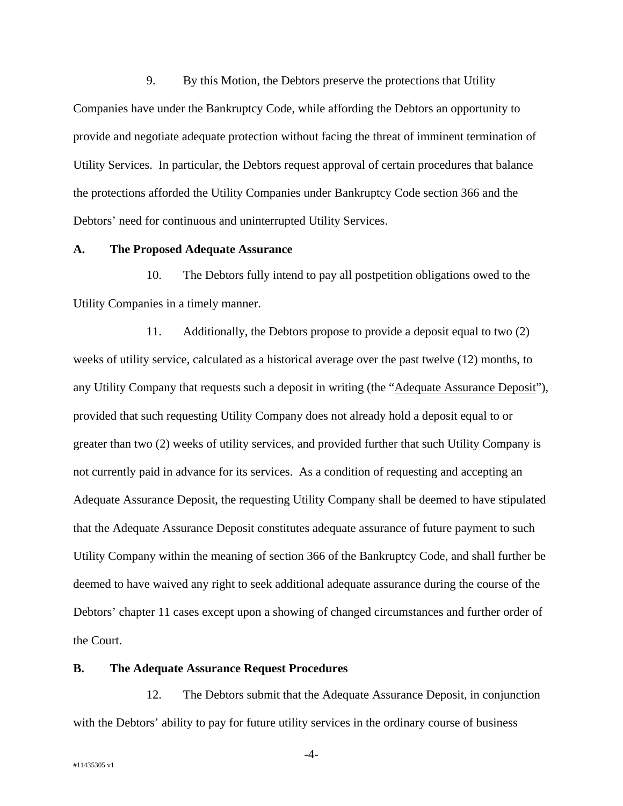9. By this Motion, the Debtors preserve the protections that Utility Companies have under the Bankruptcy Code, while affording the Debtors an opportunity to provide and negotiate adequate protection without facing the threat of imminent termination of Utility Services. In particular, the Debtors request approval of certain procedures that balance the protections afforded the Utility Companies under Bankruptcy Code section 366 and the Debtors' need for continuous and uninterrupted Utility Services.

#### **A. The Proposed Adequate Assurance**

10. The Debtors fully intend to pay all postpetition obligations owed to the Utility Companies in a timely manner.

11. Additionally, the Debtors propose to provide a deposit equal to two (2) weeks of utility service, calculated as a historical average over the past twelve (12) months, to any Utility Company that requests such a deposit in writing (the "Adequate Assurance Deposit"), provided that such requesting Utility Company does not already hold a deposit equal to or greater than two (2) weeks of utility services, and provided further that such Utility Company is not currently paid in advance for its services. As a condition of requesting and accepting an Adequate Assurance Deposit, the requesting Utility Company shall be deemed to have stipulated that the Adequate Assurance Deposit constitutes adequate assurance of future payment to such Utility Company within the meaning of section 366 of the Bankruptcy Code, and shall further be deemed to have waived any right to seek additional adequate assurance during the course of the Debtors' chapter 11 cases except upon a showing of changed circumstances and further order of the Court.

#### **B. The Adequate Assurance Request Procedures**

12. The Debtors submit that the Adequate Assurance Deposit, in conjunction with the Debtors' ability to pay for future utility services in the ordinary course of business

-4-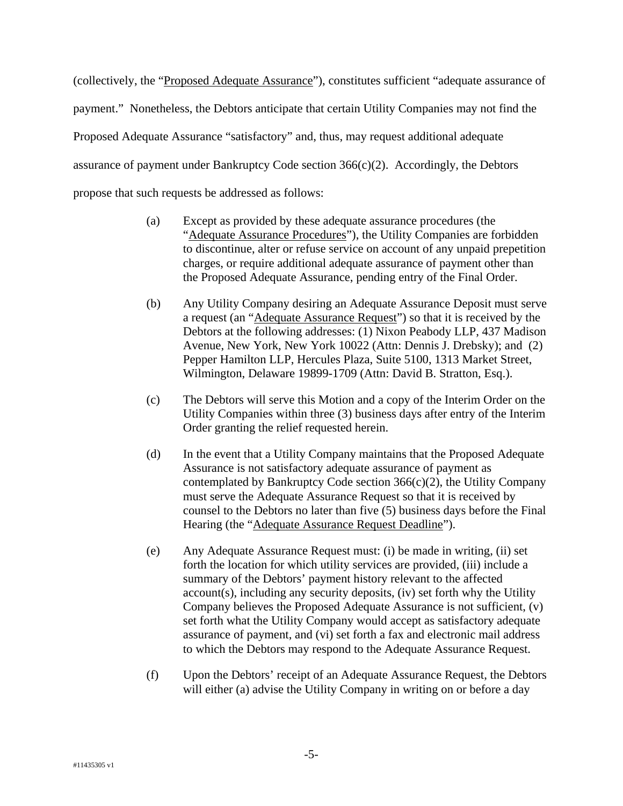(collectively, the "Proposed Adequate Assurance"), constitutes sufficient "adequate assurance of payment." Nonetheless, the Debtors anticipate that certain Utility Companies may not find the Proposed Adequate Assurance "satisfactory" and, thus, may request additional adequate assurance of payment under Bankruptcy Code section 366(c)(2). Accordingly, the Debtors propose that such requests be addressed as follows:

- (a) Except as provided by these adequate assurance procedures (the "Adequate Assurance Procedures"), the Utility Companies are forbidden to discontinue, alter or refuse service on account of any unpaid prepetition charges, or require additional adequate assurance of payment other than the Proposed Adequate Assurance, pending entry of the Final Order.
- (b) Any Utility Company desiring an Adequate Assurance Deposit must serve a request (an "Adequate Assurance Request") so that it is received by the Debtors at the following addresses: (1) Nixon Peabody LLP, 437 Madison Avenue, New York, New York 10022 (Attn: Dennis J. Drebsky); and (2) Pepper Hamilton LLP, Hercules Plaza, Suite 5100, 1313 Market Street, Wilmington, Delaware 19899-1709 (Attn: David B. Stratton, Esq.).
- (c) The Debtors will serve this Motion and a copy of the Interim Order on the Utility Companies within three (3) business days after entry of the Interim Order granting the relief requested herein.
- (d) In the event that a Utility Company maintains that the Proposed Adequate Assurance is not satisfactory adequate assurance of payment as contemplated by Bankruptcy Code section 366(c)(2), the Utility Company must serve the Adequate Assurance Request so that it is received by counsel to the Debtors no later than five (5) business days before the Final Hearing (the "Adequate Assurance Request Deadline").
- (e) Any Adequate Assurance Request must: (i) be made in writing, (ii) set forth the location for which utility services are provided, (iii) include a summary of the Debtors' payment history relevant to the affected account(s), including any security deposits, (iv) set forth why the Utility Company believes the Proposed Adequate Assurance is not sufficient, (v) set forth what the Utility Company would accept as satisfactory adequate assurance of payment, and (vi) set forth a fax and electronic mail address to which the Debtors may respond to the Adequate Assurance Request.
- (f) Upon the Debtors' receipt of an Adequate Assurance Request, the Debtors will either (a) advise the Utility Company in writing on or before a day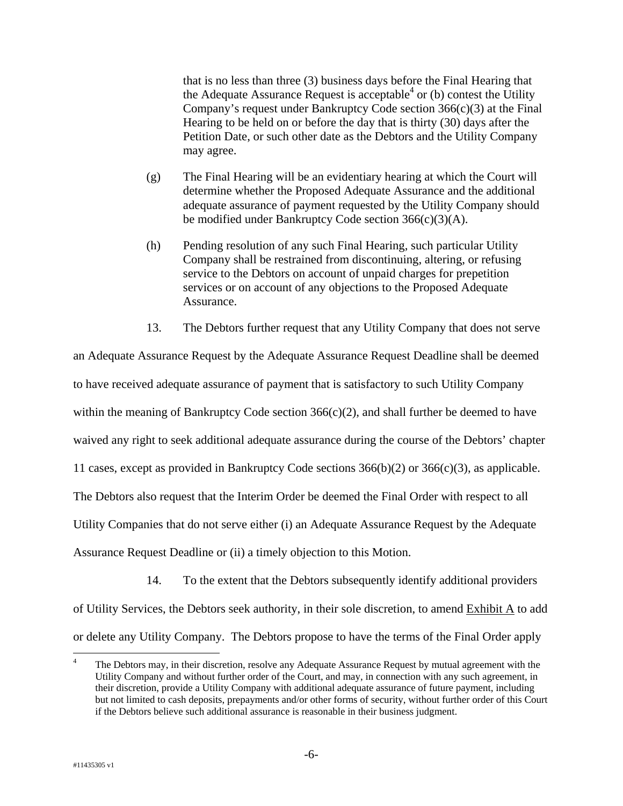that is no less than three (3) business days before the Final Hearing that the Adequate Assurance Request is acceptable<sup>4</sup> or (b) contest the Utility Company's request under Bankruptcy Code section 366(c)(3) at the Final Hearing to be held on or before the day that is thirty (30) days after the Petition Date, or such other date as the Debtors and the Utility Company may agree.

- (g) The Final Hearing will be an evidentiary hearing at which the Court will determine whether the Proposed Adequate Assurance and the additional adequate assurance of payment requested by the Utility Company should be modified under Bankruptcy Code section 366(c)(3)(A).
- (h) Pending resolution of any such Final Hearing, such particular Utility Company shall be restrained from discontinuing, altering, or refusing service to the Debtors on account of unpaid charges for prepetition services or on account of any objections to the Proposed Adequate Assurance.
- 13. The Debtors further request that any Utility Company that does not serve

an Adequate Assurance Request by the Adequate Assurance Request Deadline shall be deemed to have received adequate assurance of payment that is satisfactory to such Utility Company within the meaning of Bankruptcy Code section  $366(c)(2)$ , and shall further be deemed to have waived any right to seek additional adequate assurance during the course of the Debtors' chapter 11 cases, except as provided in Bankruptcy Code sections 366(b)(2) or 366(c)(3), as applicable. The Debtors also request that the Interim Order be deemed the Final Order with respect to all Utility Companies that do not serve either (i) an Adequate Assurance Request by the Adequate Assurance Request Deadline or (ii) a timely objection to this Motion.

14. To the extent that the Debtors subsequently identify additional providers

of Utility Services, the Debtors seek authority, in their sole discretion, to amend Exhibit A to add or delete any Utility Company. The Debtors propose to have the terms of the Final Order apply

<sup>1</sup> 4 The Debtors may, in their discretion, resolve any Adequate Assurance Request by mutual agreement with the Utility Company and without further order of the Court, and may, in connection with any such agreement, in their discretion, provide a Utility Company with additional adequate assurance of future payment, including but not limited to cash deposits, prepayments and/or other forms of security, without further order of this Court if the Debtors believe such additional assurance is reasonable in their business judgment.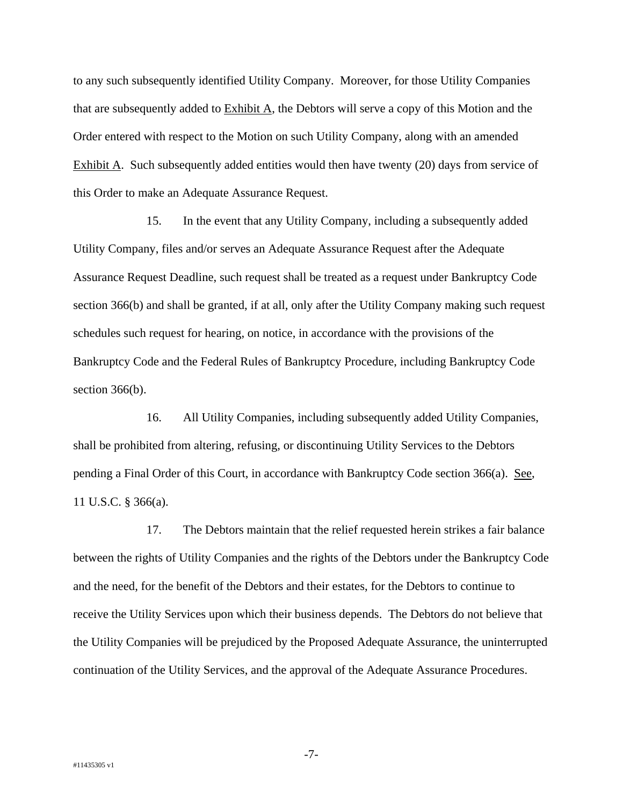to any such subsequently identified Utility Company. Moreover, for those Utility Companies that are subsequently added to Exhibit A, the Debtors will serve a copy of this Motion and the Order entered with respect to the Motion on such Utility Company, along with an amended Exhibit A. Such subsequently added entities would then have twenty (20) days from service of this Order to make an Adequate Assurance Request.

15. In the event that any Utility Company, including a subsequently added Utility Company, files and/or serves an Adequate Assurance Request after the Adequate Assurance Request Deadline, such request shall be treated as a request under Bankruptcy Code section 366(b) and shall be granted, if at all, only after the Utility Company making such request schedules such request for hearing, on notice, in accordance with the provisions of the Bankruptcy Code and the Federal Rules of Bankruptcy Procedure, including Bankruptcy Code section 366(b).

16. All Utility Companies, including subsequently added Utility Companies, shall be prohibited from altering, refusing, or discontinuing Utility Services to the Debtors pending a Final Order of this Court, in accordance with Bankruptcy Code section 366(a). See, 11 U.S.C. § 366(a).

17. The Debtors maintain that the relief requested herein strikes a fair balance between the rights of Utility Companies and the rights of the Debtors under the Bankruptcy Code and the need, for the benefit of the Debtors and their estates, for the Debtors to continue to receive the Utility Services upon which their business depends. The Debtors do not believe that the Utility Companies will be prejudiced by the Proposed Adequate Assurance, the uninterrupted continuation of the Utility Services, and the approval of the Adequate Assurance Procedures.

-7-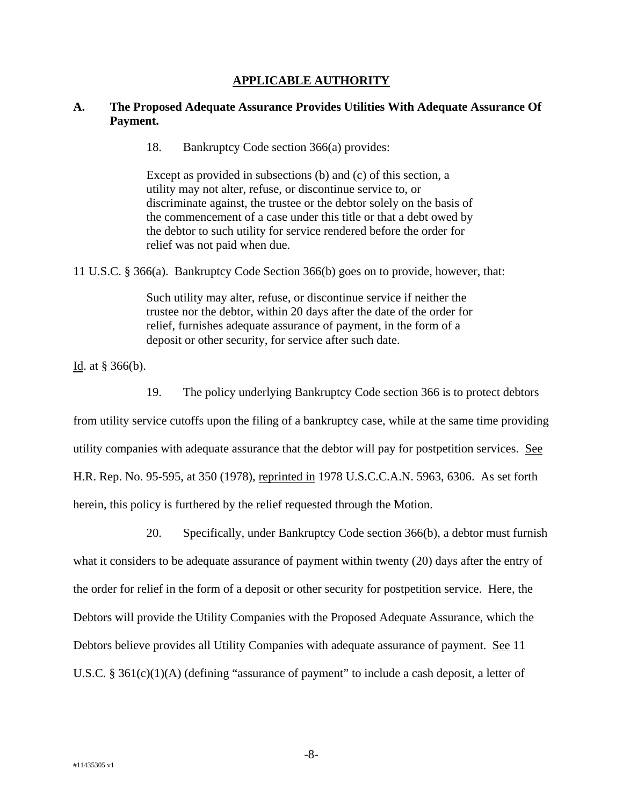#### **APPLICABLE AUTHORITY**

#### **A. The Proposed Adequate Assurance Provides Utilities With Adequate Assurance Of Payment.**

18. Bankruptcy Code section 366(a) provides:

Except as provided in subsections (b) and (c) of this section, a utility may not alter, refuse, or discontinue service to, or discriminate against, the trustee or the debtor solely on the basis of the commencement of a case under this title or that a debt owed by the debtor to such utility for service rendered before the order for relief was not paid when due.

11 U.S.C. § 366(a). Bankruptcy Code Section 366(b) goes on to provide, however, that:

Such utility may alter, refuse, or discontinue service if neither the trustee nor the debtor, within 20 days after the date of the order for relief, furnishes adequate assurance of payment, in the form of a deposit or other security, for service after such date.

Id. at § 366(b).

19. The policy underlying Bankruptcy Code section 366 is to protect debtors

from utility service cutoffs upon the filing of a bankruptcy case, while at the same time providing utility companies with adequate assurance that the debtor will pay for postpetition services. See H.R. Rep. No. 95-595, at 350 (1978), reprinted in 1978 U.S.C.C.A.N. 5963, 6306. As set forth herein, this policy is furthered by the relief requested through the Motion.

20. Specifically, under Bankruptcy Code section 366(b), a debtor must furnish what it considers to be adequate assurance of payment within twenty (20) days after the entry of the order for relief in the form of a deposit or other security for postpetition service. Here, the Debtors will provide the Utility Companies with the Proposed Adequate Assurance, which the Debtors believe provides all Utility Companies with adequate assurance of payment. See 11 U.S.C. § 361(c)(1)(A) (defining "assurance of payment" to include a cash deposit, a letter of

-8-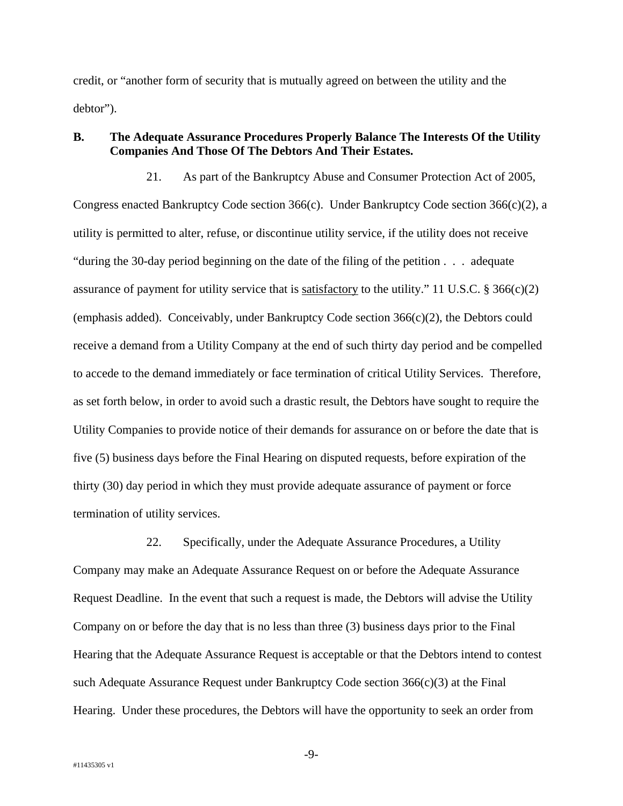credit, or "another form of security that is mutually agreed on between the utility and the debtor").

## **B. The Adequate Assurance Procedures Properly Balance The Interests Of the Utility Companies And Those Of The Debtors And Their Estates.**

21. As part of the Bankruptcy Abuse and Consumer Protection Act of 2005, Congress enacted Bankruptcy Code section 366(c). Under Bankruptcy Code section 366(c)(2), a utility is permitted to alter, refuse, or discontinue utility service, if the utility does not receive "during the 30-day period beginning on the date of the filing of the petition . . . adequate assurance of payment for utility service that is satisfactory to the utility." 11 U.S.C. § 366(c)(2) (emphasis added). Conceivably, under Bankruptcy Code section  $366(c)(2)$ , the Debtors could receive a demand from a Utility Company at the end of such thirty day period and be compelled to accede to the demand immediately or face termination of critical Utility Services. Therefore, as set forth below, in order to avoid such a drastic result, the Debtors have sought to require the Utility Companies to provide notice of their demands for assurance on or before the date that is five (5) business days before the Final Hearing on disputed requests, before expiration of the thirty (30) day period in which they must provide adequate assurance of payment or force termination of utility services.

22. Specifically, under the Adequate Assurance Procedures, a Utility Company may make an Adequate Assurance Request on or before the Adequate Assurance Request Deadline. In the event that such a request is made, the Debtors will advise the Utility Company on or before the day that is no less than three (3) business days prior to the Final Hearing that the Adequate Assurance Request is acceptable or that the Debtors intend to contest such Adequate Assurance Request under Bankruptcy Code section 366(c)(3) at the Final Hearing. Under these procedures, the Debtors will have the opportunity to seek an order from

-9-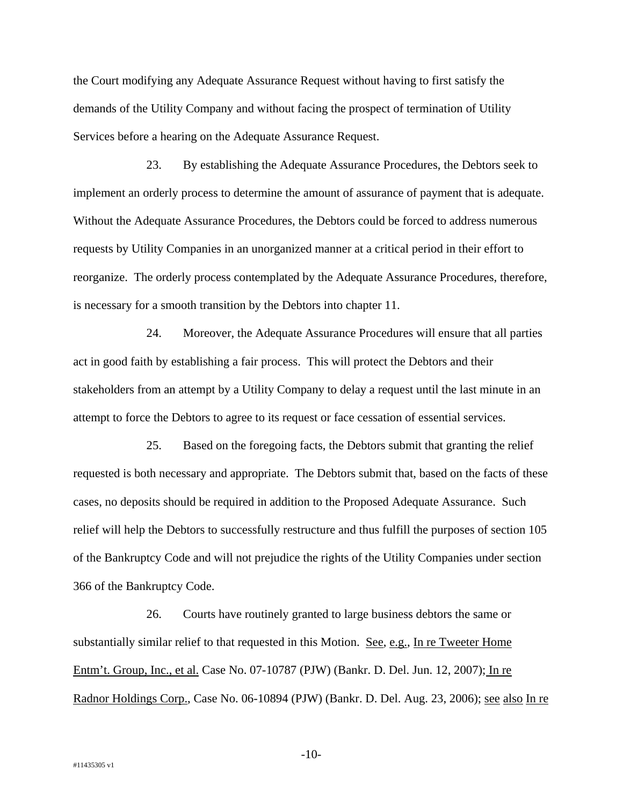the Court modifying any Adequate Assurance Request without having to first satisfy the demands of the Utility Company and without facing the prospect of termination of Utility Services before a hearing on the Adequate Assurance Request.

23. By establishing the Adequate Assurance Procedures, the Debtors seek to implement an orderly process to determine the amount of assurance of payment that is adequate. Without the Adequate Assurance Procedures, the Debtors could be forced to address numerous requests by Utility Companies in an unorganized manner at a critical period in their effort to reorganize. The orderly process contemplated by the Adequate Assurance Procedures, therefore, is necessary for a smooth transition by the Debtors into chapter 11.

24. Moreover, the Adequate Assurance Procedures will ensure that all parties act in good faith by establishing a fair process. This will protect the Debtors and their stakeholders from an attempt by a Utility Company to delay a request until the last minute in an attempt to force the Debtors to agree to its request or face cessation of essential services.

25. Based on the foregoing facts, the Debtors submit that granting the relief requested is both necessary and appropriate. The Debtors submit that, based on the facts of these cases, no deposits should be required in addition to the Proposed Adequate Assurance. Such relief will help the Debtors to successfully restructure and thus fulfill the purposes of section 105 of the Bankruptcy Code and will not prejudice the rights of the Utility Companies under section 366 of the Bankruptcy Code.

26. Courts have routinely granted to large business debtors the same or substantially similar relief to that requested in this Motion. See, e.g., In re Tweeter Home Entm't. Group, Inc., et al. Case No. 07-10787 (PJW) (Bankr. D. Del. Jun. 12, 2007); In re Radnor Holdings Corp., Case No. 06-10894 (PJW) (Bankr. D. Del. Aug. 23, 2006); see also In re

-10-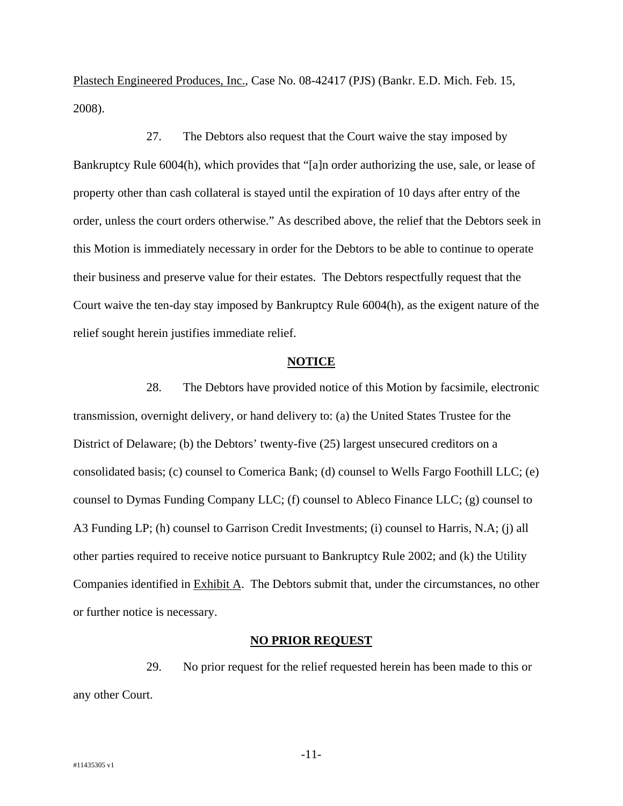Plastech Engineered Produces, Inc., Case No. 08-42417 (PJS) (Bankr. E.D. Mich. Feb. 15, 2008).

27. The Debtors also request that the Court waive the stay imposed by Bankruptcy Rule 6004(h), which provides that "[a]n order authorizing the use, sale, or lease of property other than cash collateral is stayed until the expiration of 10 days after entry of the order, unless the court orders otherwise." As described above, the relief that the Debtors seek in this Motion is immediately necessary in order for the Debtors to be able to continue to operate their business and preserve value for their estates. The Debtors respectfully request that the Court waive the ten-day stay imposed by Bankruptcy Rule 6004(h), as the exigent nature of the relief sought herein justifies immediate relief.

#### **NOTICE**

28. The Debtors have provided notice of this Motion by facsimile, electronic transmission, overnight delivery, or hand delivery to: (a) the United States Trustee for the District of Delaware; (b) the Debtors' twenty-five (25) largest unsecured creditors on a consolidated basis; (c) counsel to Comerica Bank; (d) counsel to Wells Fargo Foothill LLC; (e) counsel to Dymas Funding Company LLC; (f) counsel to Ableco Finance LLC; (g) counsel to A3 Funding LP; (h) counsel to Garrison Credit Investments; (i) counsel to Harris, N.A; (j) all other parties required to receive notice pursuant to Bankruptcy Rule 2002; and (k) the Utility Companies identified in Exhibit A. The Debtors submit that, under the circumstances, no other or further notice is necessary.

#### **NO PRIOR REQUEST**

29. No prior request for the relief requested herein has been made to this or any other Court.

-11-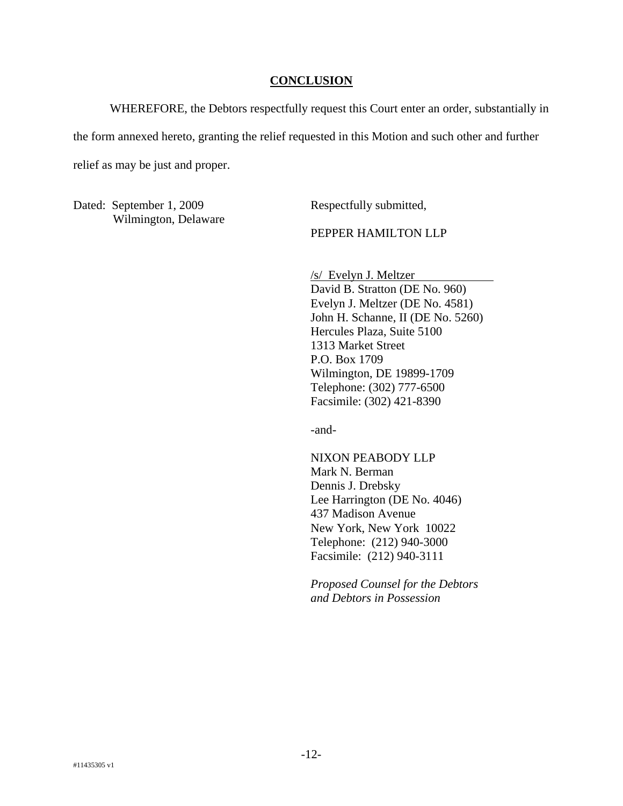#### **CONCLUSION**

WHEREFORE, the Debtors respectfully request this Court enter an order, substantially in the form annexed hereto, granting the relief requested in this Motion and such other and further relief as may be just and proper.

Dated: September 1, 2009 Wilmington, Delaware Respectfully submitted,

PEPPER HAMILTON LLP

/s/ Evelyn J. Meltzer David B. Stratton (DE No. 960) Evelyn J. Meltzer (DE No. 4581) John H. Schanne, II (DE No. 5260) Hercules Plaza, Suite 5100 1313 Market Street P.O. Box 1709 Wilmington, DE 19899-1709 Telephone: (302) 777-6500 Facsimile: (302) 421-8390

-and-

NIXON PEABODY LLP Mark N. Berman Dennis J. Drebsky Lee Harrington (DE No. 4046) 437 Madison Avenue New York, New York 10022 Telephone: (212) 940-3000 Facsimile: (212) 940-3111

*Proposed Counsel for the Debtors and Debtors in Possession*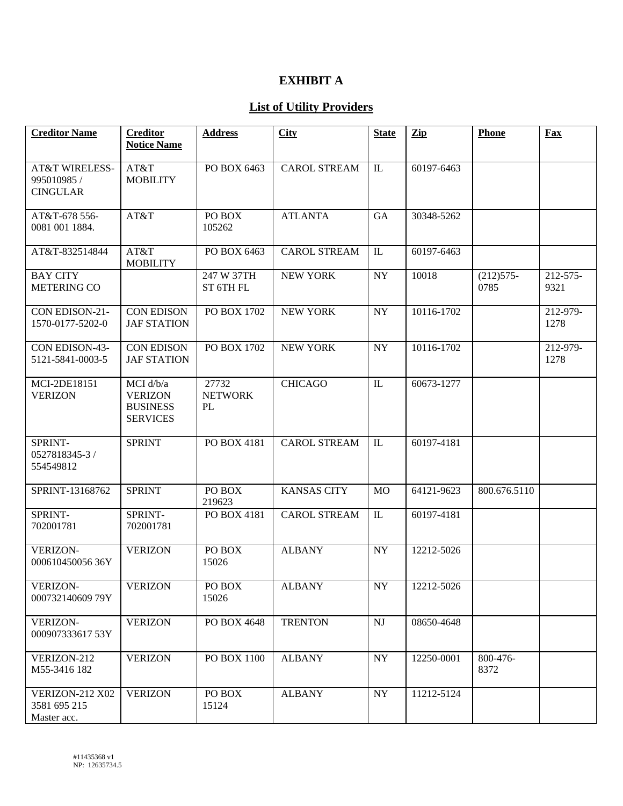# **EXHIBIT A**

# **List of Utility Providers**

| <b>Creditor Name</b>                                        | <b>Creditor</b>                                                   | <b>Address</b>                | City                | <b>State</b>           | Zip        | <b>Phone</b>        | <b>Fax</b>       |
|-------------------------------------------------------------|-------------------------------------------------------------------|-------------------------------|---------------------|------------------------|------------|---------------------|------------------|
|                                                             | <b>Notice Name</b>                                                |                               |                     |                        |            |                     |                  |
| <b>AT&amp;T WIRELESS-</b><br>995010985 /<br><b>CINGULAR</b> | AT&T<br><b>MOBILITY</b>                                           | PO BOX 6463                   | <b>CAROL STREAM</b> | $\mathbbm{L}$          | 60197-6463 |                     |                  |
| AT&T-678 556-<br>0081 001 1884.                             | AT&T                                                              | PO BOX<br>105262              | <b>ATLANTA</b>      | GA                     | 30348-5262 |                     |                  |
| AT&T-832514844                                              | AT&T<br><b>MOBILITY</b>                                           | PO BOX 6463                   | <b>CAROL STREAM</b> | $\mathbb{L}$           | 60197-6463 |                     |                  |
| <b>BAY CITY</b><br><b>METERING CO</b>                       |                                                                   | 247 W 37TH<br>ST 6TH FL       | <b>NEW YORK</b>     | NY                     | 10018      | $(212)575-$<br>0785 | 212-575-<br>9321 |
| CON EDISON-21-<br>1570-0177-5202-0                          | <b>CON EDISON</b><br><b>JAF STATION</b>                           | PO BOX 1702                   | <b>NEW YORK</b>     | <b>NY</b>              | 10116-1702 |                     | 212-979-<br>1278 |
| CON EDISON-43-<br>5121-5841-0003-5                          | <b>CON EDISON</b><br><b>JAF STATION</b>                           | PO BOX 1702                   | <b>NEW YORK</b>     | <b>NY</b>              | 10116-1702 |                     | 212-979-<br>1278 |
| MCI-2DE18151<br><b>VERIZON</b>                              | MCI d/b/a<br><b>VERIZON</b><br><b>BUSINESS</b><br><b>SERVICES</b> | 27732<br><b>NETWORK</b><br>PL | <b>CHICAGO</b>      | $\rm IL$               | 60673-1277 |                     |                  |
| SPRINT-<br>0527818345-3 /<br>554549812                      | <b>SPRINT</b>                                                     | PO BOX 4181                   | <b>CAROL STREAM</b> | IL                     | 60197-4181 |                     |                  |
| SPRINT-13168762                                             | <b>SPRINT</b>                                                     | PO BOX<br>219623              | <b>KANSAS CITY</b>  | <b>MO</b>              | 64121-9623 | 800.676.5110        |                  |
| SPRINT-<br>702001781                                        | SPRINT-<br>702001781                                              | PO BOX 4181                   | <b>CAROL STREAM</b> | $\rm IL$               | 60197-4181 |                     |                  |
| <b>VERIZON-</b><br>00061045005636Y                          | <b>VERIZON</b>                                                    | PO BOX<br>15026               | <b>ALBANY</b>       | <b>NY</b>              | 12212-5026 |                     |                  |
| <b>VERIZON-</b><br>000732140609 79Y                         | <b>VERIZON</b>                                                    | PO BOX<br>15026               | <b>ALBANY</b>       | NY                     | 12212-5026 |                     |                  |
| <b>VERIZON-</b><br>000907333617 53Y                         | <b>VERIZON</b>                                                    | PO BOX 4648                   | <b>TRENTON</b>      | $\mathbf{N}\mathbf{J}$ | 08650-4648 |                     |                  |
| VERIZON-212<br>M55-3416 182                                 | <b>VERIZON</b>                                                    | PO BOX 1100                   | <b>ALBANY</b>       | <b>NY</b>              | 12250-0001 | 800-476-<br>8372    |                  |
| <b>VERIZON-212 X02</b><br>3581 695 215<br>Master acc.       | <b>VERIZON</b>                                                    | PO BOX<br>15124               | <b>ALBANY</b>       | <b>NY</b>              | 11212-5124 |                     |                  |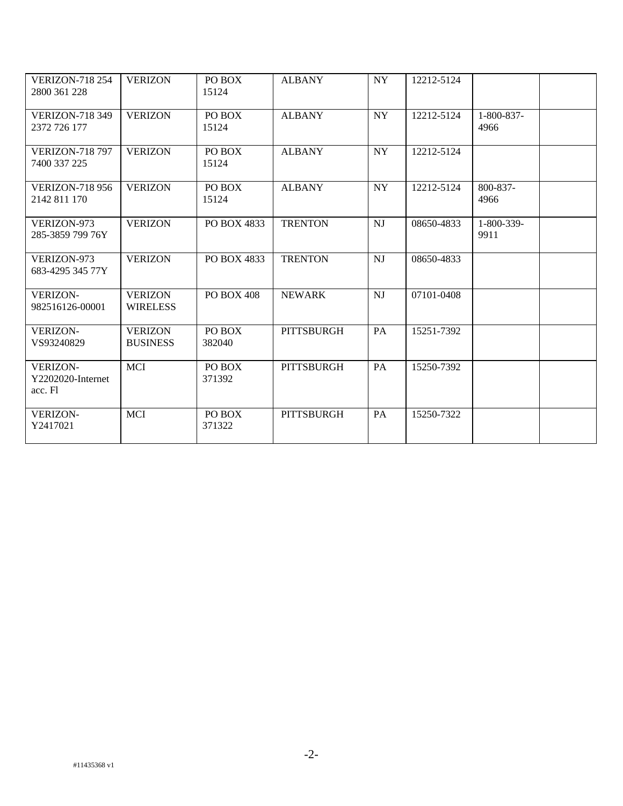| <b>VERIZON-718 254</b><br>2800 361 228          | <b>VERIZON</b>                    | PO BOX<br>15124   | <b>ALBANY</b>     | NY.       | 12212-5124 |                    |  |
|-------------------------------------------------|-----------------------------------|-------------------|-------------------|-----------|------------|--------------------|--|
| <b>VERIZON-718 349</b><br>2372 726 177          | <b>VERIZON</b>                    | PO BOX<br>15124   | <b>ALBANY</b>     | NY        | 12212-5124 | 1-800-837-<br>4966 |  |
| <b>VERIZON-718 797</b><br>7400 337 225          | <b>VERIZON</b>                    | PO BOX<br>15124   | <b>ALBANY</b>     | NY        | 12212-5124 |                    |  |
| <b>VERIZON-718 956</b><br>2142 811 170          | <b>VERIZON</b>                    | PO BOX<br>15124   | <b>ALBANY</b>     | <b>NY</b> | 12212-5124 | 800-837-<br>4966   |  |
| VERIZON-973<br>285-3859 799 76Y                 | <b>VERIZON</b>                    | PO BOX 4833       | <b>TRENTON</b>    | NI        | 08650-4833 | 1-800-339-<br>9911 |  |
| VERIZON-973<br>683-4295 345 77Y                 | <b>VERIZON</b>                    | PO BOX 4833       | <b>TRENTON</b>    | NJ        | 08650-4833 |                    |  |
| <b>VERIZON-</b><br>982516126-00001              | <b>VERIZON</b><br><b>WIRELESS</b> | <b>PO BOX 408</b> | <b>NEWARK</b>     | <b>NJ</b> | 07101-0408 |                    |  |
| <b>VERIZON-</b><br>VS93240829                   | <b>VERIZON</b><br><b>BUSINESS</b> | PO BOX<br>382040  | <b>PITTSBURGH</b> | PA        | 15251-7392 |                    |  |
| <b>VERIZON-</b><br>Y2202020-Internet<br>acc. Fl | <b>MCI</b>                        | PO BOX<br>371392  | <b>PITTSBURGH</b> | PA        | 15250-7392 |                    |  |
| <b>VERIZON-</b><br>Y2417021                     | <b>MCI</b>                        | PO BOX<br>371322  | <b>PITTSBURGH</b> | PA        | 15250-7322 |                    |  |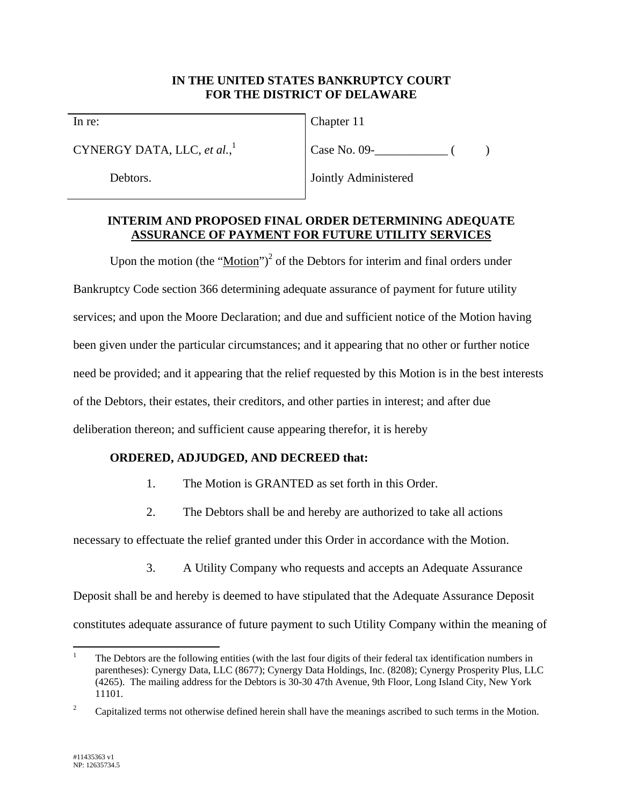### **IN THE UNITED STATES BANKRUPTCY COURT FOR THE DISTRICT OF DELAWARE**

In re:

CYNERGY DATA, LLC, *et al.*, 1

Debtors.

Chapter 11

 $Case No. 09 -$  ( )

Jointly Administered

## **INTERIM AND PROPOSED FINAL ORDER DETERMINING ADEQUATE ASSURANCE OF PAYMENT FOR FUTURE UTILITY SERVICES**

Upon the motion (the " $Motion$ ")<sup>2</sup> of the Debtors for interim and final orders under</u> Bankruptcy Code section 366 determining adequate assurance of payment for future utility services; and upon the Moore Declaration; and due and sufficient notice of the Motion having been given under the particular circumstances; and it appearing that no other or further notice need be provided; and it appearing that the relief requested by this Motion is in the best interests of the Debtors, their estates, their creditors, and other parties in interest; and after due deliberation thereon; and sufficient cause appearing therefor, it is hereby

# **ORDERED, ADJUDGED, AND DECREED that:**

- 1. The Motion is GRANTED as set forth in this Order.
- 2. The Debtors shall be and hereby are authorized to take all actions

necessary to effectuate the relief granted under this Order in accordance with the Motion.

3. A Utility Company who requests and accepts an Adequate Assurance

Deposit shall be and hereby is deemed to have stipulated that the Adequate Assurance Deposit constitutes adequate assurance of future payment to such Utility Company within the meaning of

 $\overline{a}$ 1 The Debtors are the following entities (with the last four digits of their federal tax identification numbers in parentheses): Cynergy Data, LLC (8677); Cynergy Data Holdings, Inc. (8208); Cynergy Prosperity Plus, LLC (4265). The mailing address for the Debtors is 30-30 47th Avenue, 9th Floor, Long Island City, New York 11101.

<sup>2</sup> Capitalized terms not otherwise defined herein shall have the meanings ascribed to such terms in the Motion.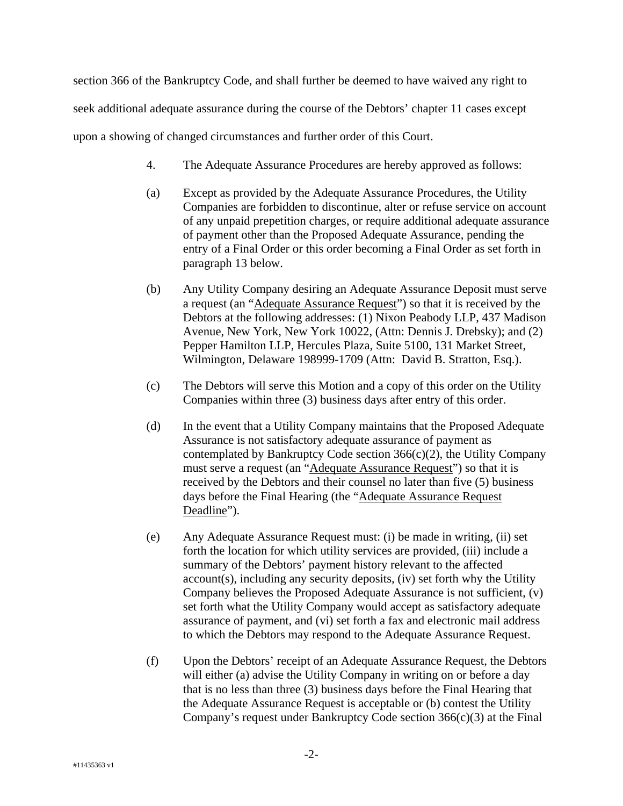section 366 of the Bankruptcy Code, and shall further be deemed to have waived any right to seek additional adequate assurance during the course of the Debtors' chapter 11 cases except upon a showing of changed circumstances and further order of this Court.

- 4. The Adequate Assurance Procedures are hereby approved as follows:
- (a) Except as provided by the Adequate Assurance Procedures, the Utility Companies are forbidden to discontinue, alter or refuse service on account of any unpaid prepetition charges, or require additional adequate assurance of payment other than the Proposed Adequate Assurance, pending the entry of a Final Order or this order becoming a Final Order as set forth in paragraph 13 below.
- (b) Any Utility Company desiring an Adequate Assurance Deposit must serve a request (an "Adequate Assurance Request") so that it is received by the Debtors at the following addresses: (1) Nixon Peabody LLP, 437 Madison Avenue, New York, New York 10022, (Attn: Dennis J. Drebsky); and (2) Pepper Hamilton LLP, Hercules Plaza, Suite 5100, 131 Market Street, Wilmington, Delaware 198999-1709 (Attn: David B. Stratton, Esq.).
- (c) The Debtors will serve this Motion and a copy of this order on the Utility Companies within three (3) business days after entry of this order.
- (d) In the event that a Utility Company maintains that the Proposed Adequate Assurance is not satisfactory adequate assurance of payment as contemplated by Bankruptcy Code section 366(c)(2), the Utility Company must serve a request (an "Adequate Assurance Request") so that it is received by the Debtors and their counsel no later than five (5) business days before the Final Hearing (the "Adequate Assurance Request Deadline").
- (e) Any Adequate Assurance Request must: (i) be made in writing, (ii) set forth the location for which utility services are provided, (iii) include a summary of the Debtors' payment history relevant to the affected account(s), including any security deposits, (iv) set forth why the Utility Company believes the Proposed Adequate Assurance is not sufficient, (v) set forth what the Utility Company would accept as satisfactory adequate assurance of payment, and (vi) set forth a fax and electronic mail address to which the Debtors may respond to the Adequate Assurance Request.
- (f) Upon the Debtors' receipt of an Adequate Assurance Request, the Debtors will either (a) advise the Utility Company in writing on or before a day that is no less than three (3) business days before the Final Hearing that the Adequate Assurance Request is acceptable or (b) contest the Utility Company's request under Bankruptcy Code section 366(c)(3) at the Final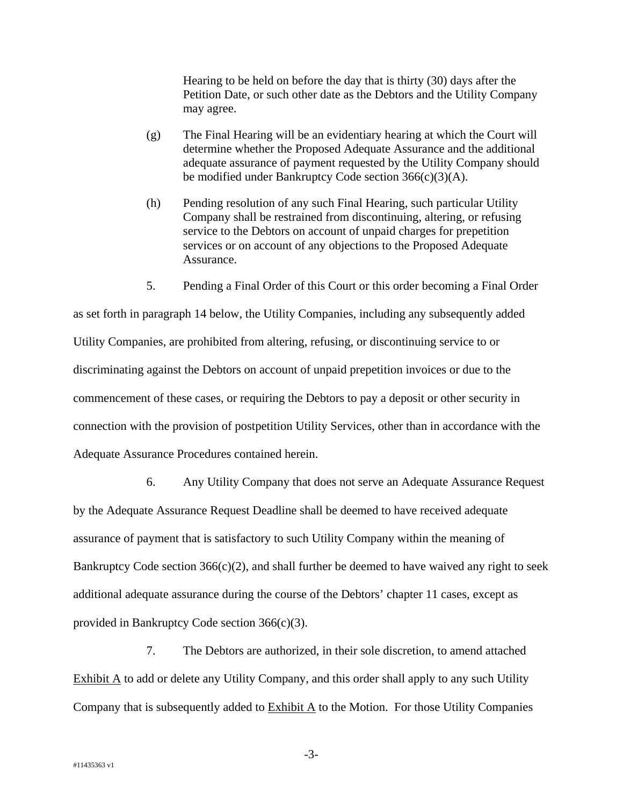Hearing to be held on before the day that is thirty (30) days after the Petition Date, or such other date as the Debtors and the Utility Company may agree.

- (g) The Final Hearing will be an evidentiary hearing at which the Court will determine whether the Proposed Adequate Assurance and the additional adequate assurance of payment requested by the Utility Company should be modified under Bankruptcy Code section 366(c)(3)(A).
- (h) Pending resolution of any such Final Hearing, such particular Utility Company shall be restrained from discontinuing, altering, or refusing service to the Debtors on account of unpaid charges for prepetition services or on account of any objections to the Proposed Adequate Assurance.
- 5. Pending a Final Order of this Court or this order becoming a Final Order

as set forth in paragraph 14 below, the Utility Companies, including any subsequently added Utility Companies, are prohibited from altering, refusing, or discontinuing service to or discriminating against the Debtors on account of unpaid prepetition invoices or due to the commencement of these cases, or requiring the Debtors to pay a deposit or other security in connection with the provision of postpetition Utility Services, other than in accordance with the Adequate Assurance Procedures contained herein.

6. Any Utility Company that does not serve an Adequate Assurance Request by the Adequate Assurance Request Deadline shall be deemed to have received adequate assurance of payment that is satisfactory to such Utility Company within the meaning of Bankruptcy Code section  $366(c)(2)$ , and shall further be deemed to have waived any right to seek additional adequate assurance during the course of the Debtors' chapter 11 cases, except as provided in Bankruptcy Code section 366(c)(3).

7. The Debtors are authorized, in their sole discretion, to amend attached Exhibit A to add or delete any Utility Company, and this order shall apply to any such Utility Company that is subsequently added to Exhibit A to the Motion. For those Utility Companies

-3-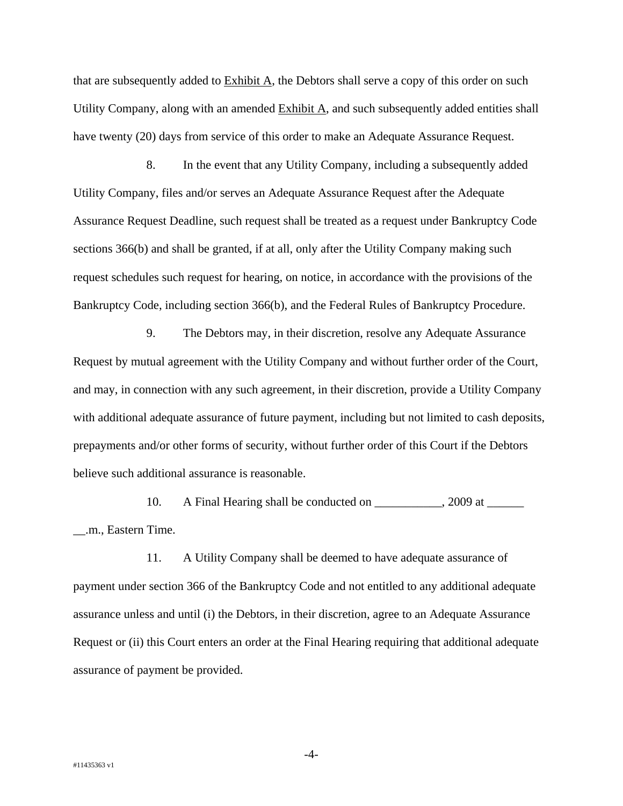that are subsequently added to Exhibit A, the Debtors shall serve a copy of this order on such Utility Company, along with an amended Exhibit A, and such subsequently added entities shall have twenty (20) days from service of this order to make an Adequate Assurance Request.

8. In the event that any Utility Company, including a subsequently added Utility Company, files and/or serves an Adequate Assurance Request after the Adequate Assurance Request Deadline, such request shall be treated as a request under Bankruptcy Code sections 366(b) and shall be granted, if at all, only after the Utility Company making such request schedules such request for hearing, on notice, in accordance with the provisions of the Bankruptcy Code, including section 366(b), and the Federal Rules of Bankruptcy Procedure.

9. The Debtors may, in their discretion, resolve any Adequate Assurance Request by mutual agreement with the Utility Company and without further order of the Court, and may, in connection with any such agreement, in their discretion, provide a Utility Company with additional adequate assurance of future payment, including but not limited to cash deposits, prepayments and/or other forms of security, without further order of this Court if the Debtors believe such additional assurance is reasonable.

10. A Final Hearing shall be conducted on \_\_\_\_\_\_\_\_\_, 2009 at \_\_\_\_\_\_ \_\_.m., Eastern Time.

11. A Utility Company shall be deemed to have adequate assurance of payment under section 366 of the Bankruptcy Code and not entitled to any additional adequate assurance unless and until (i) the Debtors, in their discretion, agree to an Adequate Assurance Request or (ii) this Court enters an order at the Final Hearing requiring that additional adequate assurance of payment be provided.

-4-